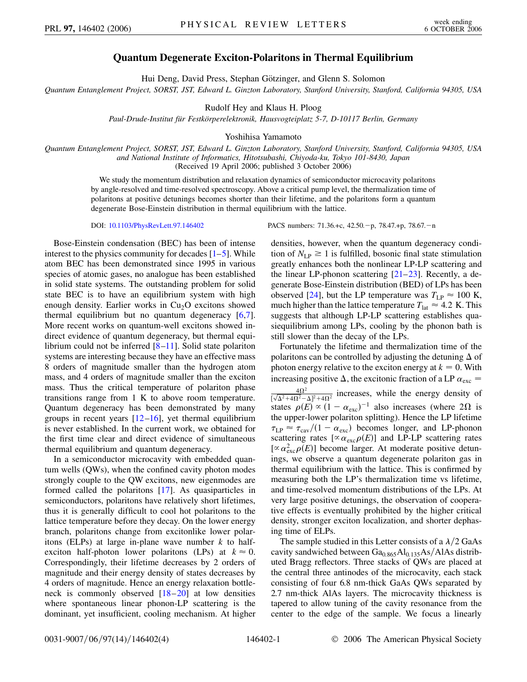## **Quantum Degenerate Exciton-Polaritons in Thermal Equilibrium**

Hui Deng, David Press, Stephan Götzinger, and Glenn S. Solomon

*Quantum Entanglement Project, SORST, JST, Edward L. Ginzton Laboratory, Stanford University, Stanford, California 94305, USA*

Rudolf Hey and Klaus H. Ploog

*Paul-Drude-Institut fu¨r Festko¨rperelektronik, Hausvogteiplatz 5-7, D-10117 Berlin, Germany*

Yoshihisa Yamamoto

*Quantum Entanglement Project, SORST, JST, Edward L. Ginzton Laboratory, Stanford University, Stanford, California 94305, USA and National Institute of Informatics, Hitotsubashi, Chiyoda-ku, Tokyo 101-8430, Japan* (Received 19 April 2006; published 3 October 2006)

We study the momentum distribution and relaxation dynamics of semiconductor microcavity polaritons by angle-resolved and time-resolved spectroscopy. Above a critical pump level, the thermalization time of polaritons at positive detunings becomes shorter than their lifetime, and the polaritons form a quantum degenerate Bose-Einstein distribution in thermal equilibrium with the lattice.

Bose-Einstein condensation (BEC) has been of intense interest to the physics community for decades  $[1-5]$  $[1-5]$  $[1-5]$ . While atom BEC has been demonstrated since 1995 in various species of atomic gases, no analogue has been established in solid state systems. The outstanding problem for solid state BEC is to have an equilibrium system with high enough density. Earlier works in  $Cu<sub>2</sub>O$  excitons showed thermal equilibrium but no quantum degeneracy [[6](#page-3-2),[7\]](#page-3-3). More recent works on quantum-well excitons showed indirect evidence of quantum degeneracy, but thermal equilibrium could not be inferred [\[8](#page-3-4)[–11\]](#page-3-5). Solid state polariton systems are interesting because they have an effective mass 8 orders of magnitude smaller than the hydrogen atom mass, and 4 orders of magnitude smaller than the exciton mass. Thus the critical temperature of polariton phase transitions range from 1 K to above room temperature. Quantum degeneracy has been demonstrated by many groups in recent years  $[12–16]$  $[12–16]$  $[12–16]$  $[12–16]$  $[12–16]$ , yet thermal equilibrium is never established. In the current work, we obtained for the first time clear and direct evidence of simultaneous thermal equilibrium and quantum degeneracy.

In a semiconductor microcavity with embedded quantum wells (QWs), when the confined cavity photon modes strongly couple to the QW excitons, new eigenmodes are formed called the polaritons [[17](#page-3-8)]. As quasiparticles in semiconductors, polaritons have relatively short lifetimes, thus it is generally difficult to cool hot polaritons to the lattice temperature before they decay. On the lower energy branch, polaritons change from excitonlike lower polaritons (ELPs) at large in-plane wave number *k* to halfexciton half-photon lower polaritons (LPs) at  $k \approx 0$ . Correspondingly, their lifetime decreases by 2 orders of magnitude and their energy density of states decreases by 4 orders of magnitude. Hence an energy relaxation bottleneck is commonly observed  $[18–20]$  $[18–20]$  $[18–20]$  $[18–20]$  at low densities where spontaneous linear phonon-LP scattering is the dominant, yet insufficient, cooling mechanism. At higher

DOI: [10.1103/PhysRevLett.97.146402](http://dx.doi.org/10.1103/PhysRevLett.97.146402) PACS numbers: 71.36.+c, 42.50.-p, 78.47.+p, 78.67.-n

densities, however, when the quantum degeneracy condition of  $N_{LP} \geq 1$  is fulfilled, bosonic final state stimulation greatly enhances both the nonlinear LP-LP scattering and the linear LP-phonon scattering  $[21-23]$  $[21-23]$  $[21-23]$ . Recently, a degenerate Bose-Einstein distribution (BED) of LPs has been observed [[24\]](#page-3-13), but the LP temperature was  $T_{\text{LP}} \approx 100 \text{ K}$ , much higher than the lattice temperature  $T_{\text{lat}} \approx 4.2 \text{ K}$ . This suggests that although LP-LP scattering establishes quasiequilibrium among LPs, cooling by the phonon bath is still slower than the decay of the LPs.

Fortunately the lifetime and thermalization time of the polaritons can be controlled by adjusting the detuning  $\Delta$  of photon energy relative to the exciton energy at  $k = 0$ . With increasing positive  $\Delta$ , the excitonic fraction of a LP  $\alpha_{\text{exc}} =$  $\frac{4\Omega^2}{\sqrt{\Delta^2+4\Omega^2}-\Delta^2+4\Omega^2}$  increases, while the energy density of states  $\rho(E) \propto (1 - \alpha_{\text{exc}})^{-1}$  also increases (where 2 $\Omega$  is the upper-lower polariton splitting). Hence the LP lifetime  $\tau_{LP} \approx \tau_{\rm cav}/(1 - \alpha_{\rm exc})$  becomes longer, and LP-phonon scattering rates  $[\propto \alpha_{\rm exc} \rho(E)]$  and LP-LP scattering rates  $[\propto \alpha_{\rm exc}^2 \rho(E)]$  become larger. At moderate positive detunings, we observe a quantum degenerate polariton gas in thermal equilibrium with the lattice. This is confirmed by measuring both the LP's thermalization time vs lifetime, and time-resolved momentum distributions of the LPs. At very large positive detunings, the observation of cooperative effects is eventually prohibited by the higher critical density, stronger exciton localization, and shorter dephasing time of ELPs.

The sample studied in this Letter consists of a  $\lambda/2$  GaAs cavity sandwiched between Ga<sub>0.865</sub>Al<sub>0.135</sub>As/AlAs distributed Bragg reflectors. Three stacks of QWs are placed at the central three antinodes of the microcavity, each stack consisting of four 6.8 nm-thick GaAs QWs separated by 2.7 nm-thick AlAs layers. The microcavity thickness is tapered to allow tuning of the cavity resonance from the center to the edge of the sample. We focus a linearly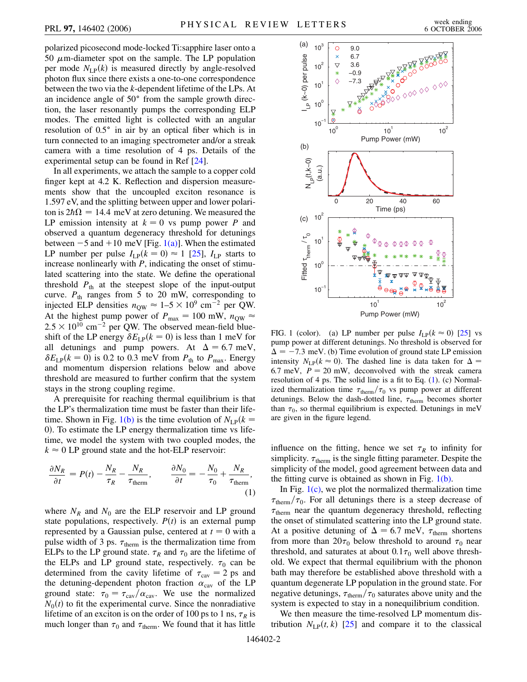polarized picosecond mode-locked Ti:sapphire laser onto a 50  $\mu$ m-diameter spot on the sample. The LP population per mode  $N_{LP}(k)$  is measured directly by angle-resolved photon flux since there exists a one-to-one correspondence between the two via the *k*-dependent lifetime of the LPs. At an incidence angle of 50° from the sample growth direction, the laser resonantly pumps the corresponding ELP modes. The emitted light is collected with an angular resolution of 0.5° in air by an optical fiber which is in turn connected to an imaging spectrometer and/or a streak camera with a time resolution of 4 ps. Details of the experimental setup can be found in Ref [[24](#page-3-13)].

In all experiments, we attach the sample to a copper cold finger kept at 4.2 K. Reflection and dispersion measurements show that the uncoupled exciton resonance is 1.597 eV, and the splitting between upper and lower polariton is  $2\hbar\Omega = 14.4$  meV at zero detuning. We measured the LP emission intensity at  $k = 0$  vs pump power *P* and observed a quantum degeneracy threshold for detunings between  $-5$  and  $+10$  meV [Fig. [1\(a\)](#page-1-0)]. When the estimated LP number per pulse  $I_{LP}(k = 0) \approx 1$  [\[25\]](#page-3-14),  $I_{LP}$  starts to increase nonlinearly with *P*, indicating the onset of stimulated scattering into the state. We define the operational threshold  $P_{th}$  at the steepest slope of the input-output curve.  $P_{\text{th}}$  ranges from 5 to 20 mW, corresponding to injected ELP densities  $n_{\text{QW}} \approx 1-5 \times 10^9 \text{ cm}^{-2}$  per QW. At the highest pump power of  $P_{\text{max}} = 100 \text{ mW}, n_{\text{QW}} \approx$  $2.5 \times 10^{10}$  cm<sup>-2</sup> per QW. The observed mean-field blueshift of the LP energy  $\delta E_{LP}(k = 0)$  is less than 1 meV for all detunings and pump powers. At  $\Delta = 6.7$  meV,  $\delta E_{LP}(k = 0)$  is 0.2 to 0.3 meV from  $P_{th}$  to  $P_{max}$ . Energy and momentum dispersion relations below and above threshold are measured to further confirm that the system stays in the strong coupling regime.

A prerequisite for reaching thermal equilibrium is that the LP's thermalization time must be faster than their life-time. Shown in Fig. [1\(b\)](#page-1-0) is the time evolution of  $N_{LP}(k =$ 0). To estimate the LP energy thermalization time vs lifetime, we model the system with two coupled modes, the  $k \approx 0$  LP ground state and the hot-ELP reservoir:

<span id="page-1-1"></span>
$$
\frac{\partial N_R}{\partial t} = P(t) - \frac{N_R}{\tau_R} - \frac{N_R}{\tau_{\text{therm}}}, \qquad \frac{\partial N_0}{\partial t} = -\frac{N_0}{\tau_0} + \frac{N_R}{\tau_{\text{therm}}},\tag{1}
$$

where  $N_R$  and  $N_0$  are the ELP reservoir and LP ground state populations, respectively.  $P(t)$  is an external pump represented by a Gaussian pulse, centered at  $t = 0$  with a pulse width of 3 ps.  $\tau_{\text{therm}}$  is the thermalization time from ELPs to the LP ground state.  $\tau_R$  and  $\tau_0$  are the lifetime of the ELPs and LP ground state, respectively.  $\tau_0$  can be determined from the cavity lifetime of  $\tau_{\text{cav}} = 2 \text{ ps and}$ the detuning-dependent photon fraction  $\alpha_{\text{cav}}$  of the LP ground state:  $\tau_0 = \tau_{\rm cav}/\alpha_{\rm cav}$ . We use the normalized  $N_0(t)$  to fit the experimental curve. Since the nonradiative lifetime of an exciton is on the order of 100 ps to 1 ns,  $\tau_R$  is much longer than  $\tau_0$  and  $\tau_{\text{therm}}$ . We found that it has little



<span id="page-1-0"></span>FIG. 1 (color). (a) LP number per pulse  $I_{LP}(k \approx 0)$  [[25](#page-3-14)] vs pump power at different detunings. No threshold is observed for  $\Delta = -7.3$  meV. (b) Time evolution of ground state LP emission intensity  $N_{\text{LP}}(k \approx 0)$ . The dashed line is data taken for  $\Delta =$ 6.7 meV,  $P = 20$  mW, deconvolved with the streak camera resolution of 4 ps. The solid line is a fit to Eq. [\(1\)](#page-1-1). (c) Normalized thermalization time  $\tau_{\text{therm}}/\tau_0$  vs pump power at different detunings. Below the dash-dotted line,  $\tau_{therm}$  becomes shorter than  $\tau_0$ , so thermal equilibrium is expected. Detunings in meV are given in the figure legend.

influence on the fitting, hence we set  $\tau_R$  to infinity for simplicity.  $\tau_{\text{therm}}$  is the single fitting parameter. Despite the simplicity of the model, good agreement between data and the fitting curve is obtained as shown in Fig.  $1(b)$ .

In Fig.  $1(c)$ , we plot the normalized thermalization time  $\tau_{\text{therm}}/\tau_0$ . For all detunings there is a steep decrease of  $\tau_{\text{therm}}$  near the quantum degeneracy threshold, reflecting the onset of stimulated scattering into the LP ground state. At a positive detuning of  $\Delta = 6.7$  meV,  $\tau_{\text{therm}}$  shortens from more than  $20\tau_0$  below threshold to around  $\tau_0$  near threshold, and saturates at about  $0.1\tau_0$  well above threshold. We expect that thermal equilibrium with the phonon bath may therefore be established above threshold with a quantum degenerate LP population in the ground state. For negative detunings,  $\tau_{\text{therm}}/\tau_0$  saturates above unity and the system is expected to stay in a nonequilibrium condition.

We then measure the time-resolved LP momentum distribution  $N_{LP}(t, k)$  [\[25\]](#page-3-14) and compare it to the classical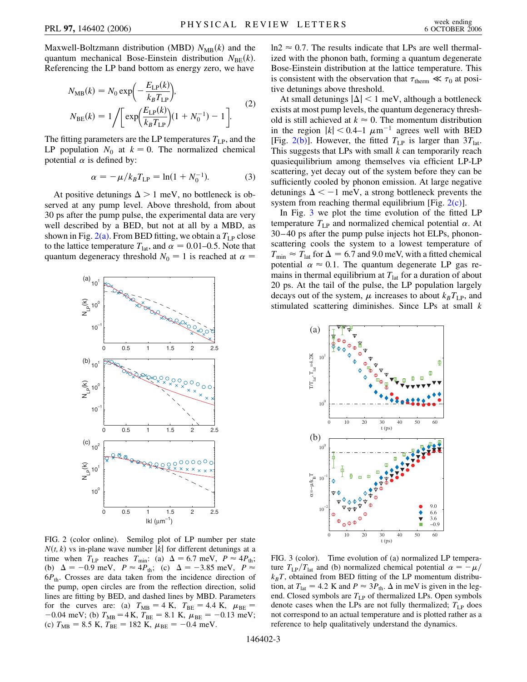Maxwell-Boltzmann distribution (MBD)  $N_{MB}(k)$  and the quantum mechanical Bose-Einstein distribution  $N_{\text{BE}}(k)$ . Referencing the LP band bottom as energy zero, we have

$$
N_{MB}(k) = N_0 \exp\left(-\frac{E_{LP}(k)}{k_B T_{LP}}\right),
$$
  
\n
$$
N_{BE}(k) = 1 / \left[\exp\left(\frac{E_{LP}(k)}{k_B T_{LP}}\right)(1 + N_0^{-1}) - 1\right].
$$
 (2)

The fitting parameters are the LP temperatures  $T_{LP}$ , and the LP population  $N_0$  at  $k = 0$ . The normalized chemical potential  $\alpha$  is defined by:

$$
\alpha = -\mu / k_B T_{\rm LP} = \ln(1 + N_0^{-1}). \tag{3}
$$

At positive detunings  $\Delta > 1$  meV, no bottleneck is observed at any pump level. Above threshold, from about 30 ps after the pump pulse, the experimental data are very well described by a BED, but not at all by a MBD, as shown in Fig.  $2(a)$ . From BED fitting, we obtain a  $T_{LP}$  close to the lattice temperature  $T_{\text{lat}}$ , and  $\alpha = 0.01{\text{-}}0.5$ . Note that quantum degeneracy threshold  $N_0 = 1$  is reached at  $\alpha =$ 



<span id="page-2-0"></span>FIG. 2 (color online). Semilog plot of LP number per state  $N(t, k)$  vs in-plane wave number |k| for different detunings at a time when  $T_{LP}$  reaches  $T_{min}$ : (a)  $\Delta = 6.7$  meV,  $P \approx 4P_{th}$ ; (b)  $\Delta = -0.9$  meV,  $P \approx 4P_{\text{th}}$ ; (c)  $\Delta = -3.85$  meV,  $P \approx$ 6*P*th. Crosses are data taken from the incidence direction of the pump, open circles are from the reflection direction, solid lines are fitting by BED, and dashed lines by MBD. Parameters for the curves are: (a)  $T_{MB} = 4$  K,  $T_{BE} = 4.4$  K,  $\mu_{BE} =$  $-0.04$  meV; (b)  $T_{MB} = 4$  K,  $T_{BE} = 8.1$  K,  $\mu_{BE} = -0.13$  meV; (c)  $T_{MB} = 8.5$  K,  $T_{BE} = 182$  K,  $\mu_{BE} = -0.4$  meV.

 $ln 2 \approx 0.7$ . The results indicate that LPs are well thermalized with the phonon bath, forming a quantum degenerate Bose-Einstein distribution at the lattice temperature. This is consistent with the observation that  $\tau_{\text{therm}} \ll \tau_0$  at positive detunings above threshold.

At small detunings  $|\Delta|$  < 1 meV, although a bottleneck exists at most pump levels, the quantum degeneracy threshold is still achieved at  $k \approx 0$ . The momentum distribution in the region  $|k|$  < 0.4–1  $\mu$ m<sup>-1</sup> agrees well with BED [Fig. [2\(b\)\]](#page-2-0). However, the fitted  $T_{LP}$  is larger than  $3T_{lat}$ . This suggests that LPs with small *k* can temporarily reach quasiequilibrium among themselves via efficient LP-LP scattering, yet decay out of the system before they can be sufficiently cooled by phonon emission. At large negative detunings  $\Delta < -1$  meV, a strong bottleneck prevents the system from reaching thermal equilibrium [Fig.  $2(c)$ ].

In Fig. [3](#page-2-1) we plot the time evolution of the fitted LP temperature  $T_{LP}$  and normalized chemical potential  $\alpha$ . At 30–40 ps after the pump pulse injects hot ELPs, phononscattering cools the system to a lowest temperature of  $T_{\text{min}} \approx T_{\text{lat}}$  for  $\Delta = 6.7$  and 9.0 meV, with a fitted chemical potential  $\alpha \approx 0.1$ . The quantum degenerate LP gas remains in thermal equilibrium at  $T<sub>lat</sub>$  for a duration of about 20 ps. At the tail of the pulse, the LP population largely decays out of the system,  $\mu$  increases to about  $k_B T_{\text{LP}}$ , and stimulated scattering diminishes. Since LPs at small *k*

<span id="page-2-1"></span>

FIG. 3 (color). Time evolution of (a) normalized LP temperature  $T_{LP}/T_{lat}$  and (b) normalized chemical potential  $\alpha = -\mu$ /  $k_B T$ , obtained from BED fitting of the LP momentum distribution, at  $T_{\text{lat}} = 4.2 \text{ K}$  and  $P \approx 3P_{\text{th}}$ .  $\Delta$  in meV is given in the legend. Closed symbols are  $T_{LP}$  of thermalized LPs. Open symbols denote cases when the LPs are not fully thermalized;  $T_{LP}$  does not correspond to an actual temperature and is plotted rather as a reference to help qualitatively understand the dynamics.